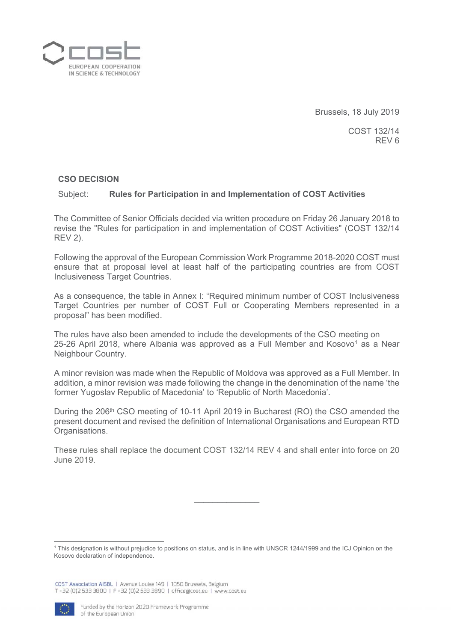

Brussels, 18 July 2019

COST 132/14 REV 6

#### **CSO DECISION**

#### Subject: **Rules for Participation in and Implementation of COST Activities**

The Committee of Senior Officials decided via written procedure on Friday 26 January 2018 to revise the "Rules for participation in and implementation of COST Activities" (COST 132/14 REV 2).

Following the approval of the European Commission Work Programme 2018-2020 COST must ensure that at proposal level at least half of the participating countries are from COST Inclusiveness Target Countries.

As a consequence, the table in Annex I: "Required minimum number of COST Inclusiveness Target Countries per number of COST Full or Cooperating Members represented in a proposal" has been modified.

The rules have also been amended to include the developments of the CSO meeting on  $25-26$  April 2018, where Albania was approved as a Full Member and Kosovo<sup>1</sup> as a Near Neighbour Country.

A minor revision was made when the Republic of Moldova was approved as a Full Member. In addition, a minor revision was made following the change in the denomination of the name 'the former Yugoslav Republic of Macedonia' to 'Republic of North Macedonia'.

During the 206<sup>th</sup> CSO meeting of 10-11 April 2019 in Bucharest (RO) the CSO amended the present document and revised the definition of International Organisations and European RTD Organisations.

These rules shall replace the document COST 132/14 REV 4 and shall enter into force on 20 June 2019.

 $\frac{1}{2}$  ,  $\frac{1}{2}$  ,  $\frac{1}{2}$  ,  $\frac{1}{2}$  ,  $\frac{1}{2}$  ,  $\frac{1}{2}$  ,  $\frac{1}{2}$  ,  $\frac{1}{2}$ 

COST Association AISBL | Avenue Louise 149 | 1050 Brussels, Belgium T+32 (0)2 533 3800 | F+32 (0)2 533 3890 | office@cost.eu | www.cost.eu



 1 This designation is without prejudice to positions on status, and is in line with UNSCR 1244/1999 and the ICJ Opinion on the Kosovo declaration of independence.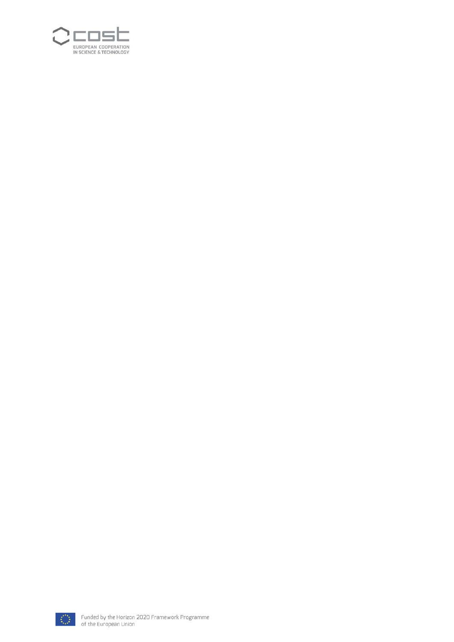

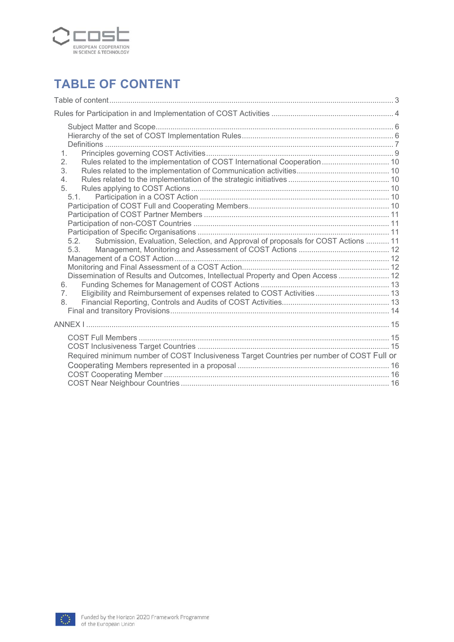

# **TABLE OF CONTENT**

| 1 <sub>1</sub><br>Rules related to the implementation of COST International Cooperation  10<br>2.<br>3.                                                                 |  |
|-------------------------------------------------------------------------------------------------------------------------------------------------------------------------|--|
| 4 <sup>1</sup><br>5.<br>5.1.                                                                                                                                            |  |
|                                                                                                                                                                         |  |
| Submission, Evaluation, Selection, and Approval of proposals for COST Actions  11<br>5.2.<br>5.3.                                                                       |  |
| Dissemination of Results and Outcomes, Intellectual Property and Open Access  12<br>6.<br>Eligibility and Reimbursement of expenses related to COST Activities 13<br>7. |  |
| 8.                                                                                                                                                                      |  |
|                                                                                                                                                                         |  |
| Required minimum number of COST Inclusiveness Target Countries per number of COST Full or                                                                               |  |
|                                                                                                                                                                         |  |

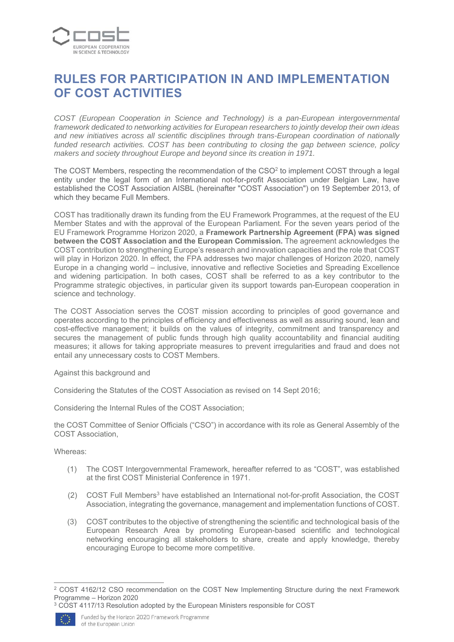

## **RULES FOR PARTICIPATION IN AND IMPLEMENTATION OF COST ACTIVITIES**

*COST (European Cooperation in Science and Technology) is a pan-European intergovernmental framework dedicated to networking activities for European researchers to jointly develop their own ideas and new initiatives across all scientific disciplines through trans-European coordination of nationally funded research activities. COST has been contributing to closing the gap between science, policy makers and society throughout Europe and beyond since its creation in 1971.* 

The COST Members, respecting the recommendation of the  $CSO<sup>2</sup>$  to implement COST through a legal entity under the legal form of an International not-for-profit Association under Belgian Law, have established the COST Association AISBL (hereinafter "COST Association") on 19 September 2013, of which they became Full Members.

COST has traditionally drawn its funding from the EU Framework Programmes, at the request of the EU Member States and with the approval of the European Parliament. For the seven years period of the EU Framework Programme Horizon 2020, a **Framework Partnership Agreement (FPA) was signed between the COST Association and the European Commission.** The agreement acknowledges the COST contribution to strengthening Europe's research and innovation capacities and the role that COST will play in Horizon 2020. In effect, the FPA addresses two major challenges of Horizon 2020, namely Europe in a changing world – inclusive, innovative and reflective Societies and Spreading Excellence and widening participation. In both cases, COST shall be referred to as a key contributor to the Programme strategic objectives, in particular given its support towards pan-European cooperation in science and technology.

The COST Association serves the COST mission according to principles of good governance and operates according to the principles of efficiency and effectiveness as well as assuring sound, lean and cost-effective management; it builds on the values of integrity, commitment and transparency and secures the management of public funds through high quality accountability and financial auditing measures; it allows for taking appropriate measures to prevent irregularities and fraud and does not entail any unnecessary costs to COST Members.

Against this background and

Considering the Statutes of the COST Association as revised on 14 Sept 2016;

Considering the Internal Rules of the COST Association;

the COST Committee of Senior Officials ("CSO") in accordance with its role as General Assembly of the COST Association,

Whereas:

- (1) The COST Intergovernmental Framework, hereafter referred to as "COST", was established at the first COST Ministerial Conference in 1971.
- (2) COST Full Members<sup>3</sup> have established an International not-for-profit Association, the COST Association, integrating the governance, management and implementation functions of COST.
- (3) COST contributes to the objective of strengthening the scientific and technological basis of the European Research Area by promoting European-based scientific and technological networking encouraging all stakeholders to share, create and apply knowledge, thereby encouraging Europe to become more competitive.

<sup>&</sup>lt;sup>3</sup> COST 4117/13 Resolution adopted by the European Ministers responsible for COST



<sup>-</sup>2 COST 4162/12 CSO recommendation on the COST New Implementing Structure during the next Framework Programme – Horizon 2020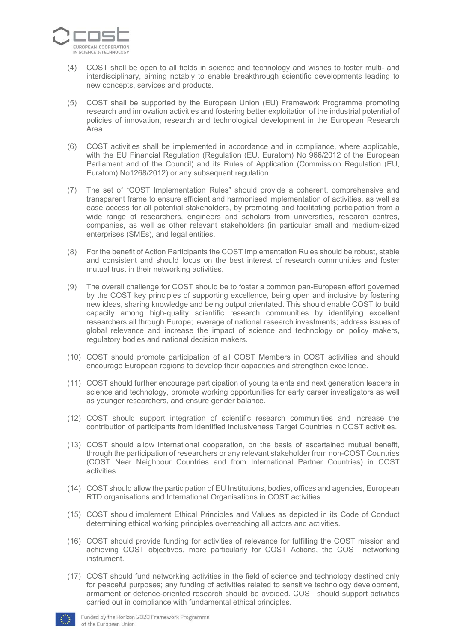

- (4) COST shall be open to all fields in science and technology and wishes to foster multi- and interdisciplinary, aiming notably to enable breakthrough scientific developments leading to new concepts, services and products.
- (5) COST shall be supported by the European Union (EU) Framework Programme promoting research and innovation activities and fostering better exploitation of the industrial potential of policies of innovation, research and technological development in the European Research Area.
- (6) COST activities shall be implemented in accordance and in compliance, where applicable, with the EU Financial Regulation (Regulation (EU, Euratom) No 966/2012 of the European Parliament and of the Council) and its Rules of Application (Commission Regulation (EU, Euratom) No1268/2012) or any subsequent regulation.
- (7) The set of "COST Implementation Rules" should provide a coherent, comprehensive and transparent frame to ensure efficient and harmonised implementation of activities, as well as ease access for all potential stakeholders, by promoting and facilitating participation from a wide range of researchers, engineers and scholars from universities, research centres, companies, as well as other relevant stakeholders (in particular small and medium-sized enterprises (SMEs), and legal entities.
- (8) For the benefit of Action Participants the COST Implementation Rules should be robust, stable and consistent and should focus on the best interest of research communities and foster mutual trust in their networking activities.
- (9) The overall challenge for COST should be to foster a common pan-European effort governed by the COST key principles of supporting excellence, being open and inclusive by fostering new ideas, sharing knowledge and being output orientated. This should enable COST to build capacity among high-quality scientific research communities by identifying excellent researchers all through Europe; leverage of national research investments; address issues of global relevance and increase the impact of science and technology on policy makers, regulatory bodies and national decision makers.
- (10) COST should promote participation of all COST Members in COST activities and should encourage European regions to develop their capacities and strengthen excellence.
- (11) COST should further encourage participation of young talents and next generation leaders in science and technology, promote working opportunities for early career investigators as well as younger researchers, and ensure gender balance.
- (12) COST should support integration of scientific research communities and increase the contribution of participants from identified Inclusiveness Target Countries in COST activities.
- (13) COST should allow international cooperation, on the basis of ascertained mutual benefit, through the participation of researchers or any relevant stakeholder from non-COST Countries (COST Near Neighbour Countries and from International Partner Countries) in COST activities.
- (14) COST should allow the participation of EU Institutions, bodies, offices and agencies, European RTD organisations and International Organisations in COST activities.
- (15) COST should implement Ethical Principles and Values as depicted in its Code of Conduct determining ethical working principles overreaching all actors and activities.
- (16) COST should provide funding for activities of relevance for fulfilling the COST mission and achieving COST objectives, more particularly for COST Actions, the COST networking instrument.
- (17) COST should fund networking activities in the field of science and technology destined only for peaceful purposes; any funding of activities related to sensitive technology development, armament or defence-oriented research should be avoided. COST should support activities carried out in compliance with fundamental ethical principles.

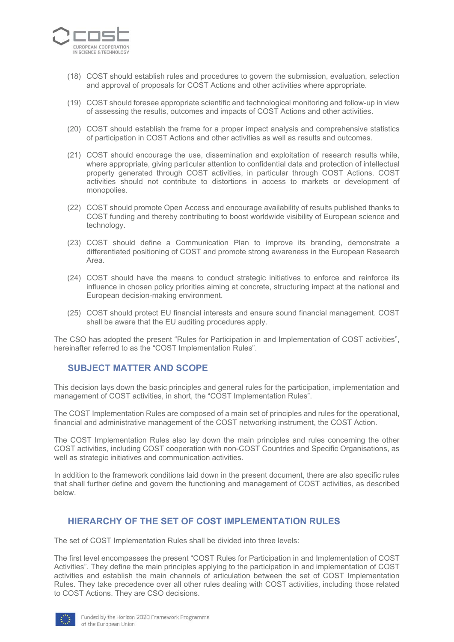

- (18) COST should establish rules and procedures to govern the submission, evaluation, selection and approval of proposals for COST Actions and other activities where appropriate.
- (19) COST should foresee appropriate scientific and technological monitoring and follow-up in view of assessing the results, outcomes and impacts of COST Actions and other activities.
- (20) COST should establish the frame for a proper impact analysis and comprehensive statistics of participation in COST Actions and other activities as well as results and outcomes.
- (21) COST should encourage the use, dissemination and exploitation of research results while, where appropriate, giving particular attention to confidential data and protection of intellectual property generated through COST activities, in particular through COST Actions. COST activities should not contribute to distortions in access to markets or development of monopolies.
- (22) COST should promote Open Access and encourage availability of results published thanks to COST funding and thereby contributing to boost worldwide visibility of European science and technology.
- (23) COST should define a Communication Plan to improve its branding, demonstrate a differentiated positioning of COST and promote strong awareness in the European Research Area.
- (24) COST should have the means to conduct strategic initiatives to enforce and reinforce its influence in chosen policy priorities aiming at concrete, structuring impact at the national and European decision-making environment.
- (25) COST should protect EU financial interests and ensure sound financial management. COST shall be aware that the EU auditing procedures apply.

The CSO has adopted the present "Rules for Participation in and Implementation of COST activities", hereinafter referred to as the "COST Implementation Rules".

#### **SUBJECT MATTER AND SCOPE**

This decision lays down the basic principles and general rules for the participation, implementation and management of COST activities, in short, the "COST Implementation Rules".

The COST Implementation Rules are composed of a main set of principles and rules for the operational, financial and administrative management of the COST networking instrument, the COST Action.

The COST Implementation Rules also lay down the main principles and rules concerning the other COST activities, including COST cooperation with non-COST Countries and Specific Organisations, as well as strategic initiatives and communication activities.

In addition to the framework conditions laid down in the present document, there are also specific rules that shall further define and govern the functioning and management of COST activities, as described below.

#### **HIERARCHY OF THE SET OF COST IMPLEMENTATION RULES**

The set of COST Implementation Rules shall be divided into three levels:

The first level encompasses the present "COST Rules for Participation in and Implementation of COST Activities". They define the main principles applying to the participation in and implementation of COST activities and establish the main channels of articulation between the set of COST Implementation Rules. They take precedence over all other rules dealing with COST activities, including those related to COST Actions. They are CSO decisions.

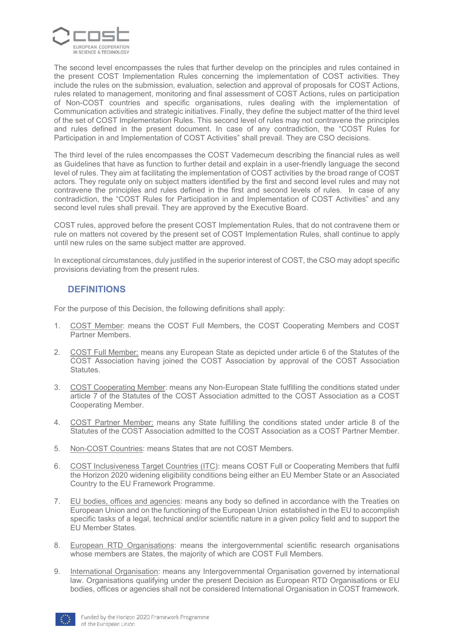

The second level encompasses the rules that further develop on the principles and rules contained in the present COST Implementation Rules concerning the implementation of COST activities. They include the rules on the submission, evaluation, selection and approval of proposals for COST Actions, rules related to management, monitoring and final assessment of COST Actions, rules on participation of Non-COST countries and specific organisations, rules dealing with the implementation of Communication activities and strategic initiatives. Finally, they define the subject matter of the third level of the set of COST Implementation Rules. This second level of rules may not contravene the principles and rules defined in the present document. In case of any contradiction, the "COST Rules for Participation in and Implementation of COST Activities" shall prevail. They are CSO decisions.

The third level of the rules encompasses the COST Vademecum describing the financial rules as well as Guidelines that have as function to further detail and explain in a user-friendly language the second level of rules. They aim at facilitating the implementation of COST activities by the broad range of COST actors. They regulate only on subject matters identified by the first and second level rules and may not contravene the principles and rules defined in the first and second levels of rules. In case of any contradiction, the "COST Rules for Participation in and Implementation of COST Activities" and any second level rules shall prevail. They are approved by the Executive Board.

COST rules, approved before the present COST Implementation Rules, that do not contravene them or rule on matters not covered by the present set of COST Implementation Rules, shall continue to apply until new rules on the same subject matter are approved.

In exceptional circumstances, duly justified in the superior interest of COST, the CSO may adopt specific provisions deviating from the present rules.

#### **DEFINITIONS**

For the purpose of this Decision, the following definitions shall apply:

- 1. COST Member: means the COST Full Members, the COST Cooperating Members and COST Partner Members.
- 2. COST Full Member: means any European State as depicted under article 6 of the Statutes of the COST Association having joined the COST Association by approval of the COST Association Statutes.
- 3. COST Cooperating Member: means any Non-European State fulfilling the conditions stated under article 7 of the Statutes of the COST Association admitted to the COST Association as a COST Cooperating Member.
- 4. COST Partner Member: means any State fulfilling the conditions stated under article 8 of the Statutes of the COST Association admitted to the COST Association as a COST Partner Member.
- 5. Non-COST Countries: means States that are not COST Members.
- 6. COST Inclusiveness Target Countries (ITC): means COST Full or Cooperating Members that fulfil the Horizon 2020 widening eligibility conditions being either an EU Member State or an Associated Country to the EU Framework Programme.
- 7. EU bodies, offices and agencies: means any body so defined in accordance with the Treaties on European Union and on the functioning of the European Union established in the EU to accomplish specific tasks of a legal, technical and/or scientific nature in a given policy field and to support the EU Member States.
- 8. European RTD Organisations: means the intergovernmental scientific research organisations whose members are States, the majority of which are COST Full Members.
- 9. International Organisation: means any Intergovernmental Organisation governed by international law. Organisations qualifying under the present Decision as European RTD Organisations or EU bodies, offices or agencies shall not be considered International Organisation in COST framework.

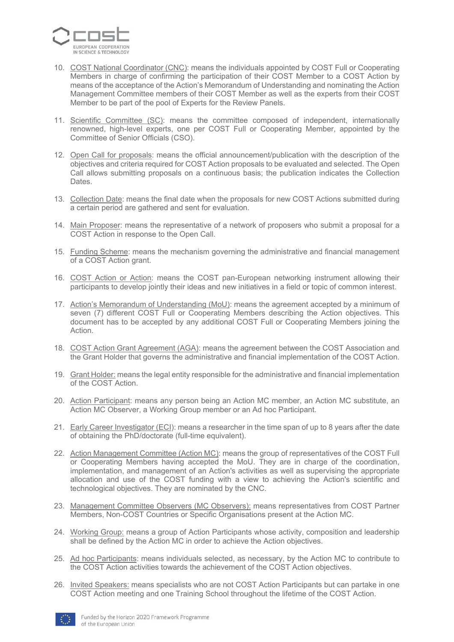

- 10. COST National Coordinator (CNC): means the individuals appointed by COST Full or Cooperating Members in charge of confirming the participation of their COST Member to a COST Action by means of the acceptance of the Action's Memorandum of Understanding and nominating the Action Management Committee members of their COST Member as well as the experts from their COST Member to be part of the pool of Experts for the Review Panels.
- 11. Scientific Committee (SC): means the committee composed of independent, internationally renowned, high-level experts, one per COST Full or Cooperating Member, appointed by the Committee of Senior Officials (CSO).
- 12. Open Call for proposals: means the official announcement/publication with the description of the objectives and criteria required for COST Action proposals to be evaluated and selected. The Open Call allows submitting proposals on a continuous basis; the publication indicates the Collection Dates.
- 13. Collection Date: means the final date when the proposals for new COST Actions submitted during a certain period are gathered and sent for evaluation.
- 14. Main Proposer: means the representative of a network of proposers who submit a proposal for a COST Action in response to the Open Call.
- 15. Funding Scheme: means the mechanism governing the administrative and financial management of a COST Action grant.
- 16. COST Action or Action: means the COST pan-European networking instrument allowing their participants to develop jointly their ideas and new initiatives in a field or topic of common interest.
- 17. Action's Memorandum of Understanding (MoU): means the agreement accepted by a minimum of seven (7) different COST Full or Cooperating Members describing the Action objectives. This document has to be accepted by any additional COST Full or Cooperating Members joining the Action.
- 18. COST Action Grant Agreement (AGA): means the agreement between the COST Association and the Grant Holder that governs the administrative and financial implementation of the COST Action.
- 19. Grant Holder: means the legal entity responsible for the administrative and financial implementation of the COST Action.
- 20. Action Participant: means any person being an Action MC member, an Action MC substitute, an Action MC Observer, a Working Group member or an Ad hoc Participant.
- 21. Early Career Investigator (ECI): means a researcher in the time span of up to 8 years after the date of obtaining the PhD/doctorate (full-time equivalent).
- 22. Action Management Committee (Action MC): means the group of representatives of the COST Full or Cooperating Members having accepted the MoU. They are in charge of the coordination, implementation, and management of an Action's activities as well as supervising the appropriate allocation and use of the COST funding with a view to achieving the Action's scientific and technological objectives. They are nominated by the CNC.
- 23. Management Committee Observers (MC Observers): means representatives from COST Partner Members, Non-COST Countries or Specific Organisations present at the Action MC.
- 24. Working Group: means a group of Action Participants whose activity, composition and leadership shall be defined by the Action MC in order to achieve the Action objectives.
- 25. Ad hoc Participants: means individuals selected, as necessary, by the Action MC to contribute to the COST Action activities towards the achievement of the COST Action objectives.
- 26. Invited Speakers: means specialists who are not COST Action Participants but can partake in one COST Action meeting and one Training School throughout the lifetime of the COST Action.

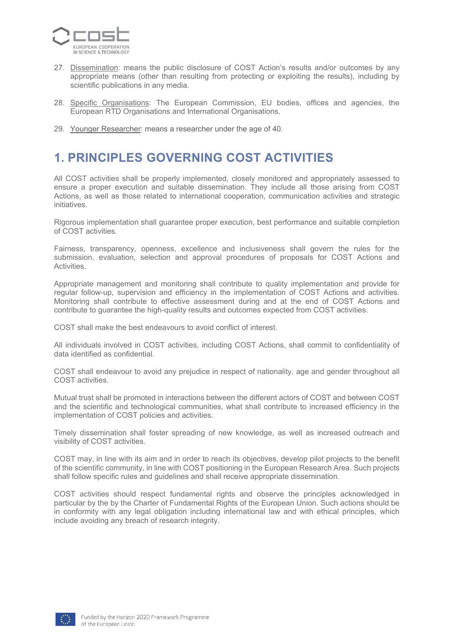

- 27. Dissemination: means the public disclosure of COST Action's results and/or outcomes by any appropriate means (other than resulting from protecting or exploiting the results), including by scientific publications in any media.
- 28. Specific Organisations: The European Commission, EU bodies, offices and agencies, the European RTD Organisations and International Organisations.
- 29. Younger Researcher: means a researcher under the age of 40.

## **1. PRINCIPLES GOVERNING COST ACTIVITIES**

All COST activities shall be properly implemented, closely monitored and appropriately assessed to ensure a proper execution and suitable dissemination. They include all those arising from COST Actions, as well as those related to international cooperation, communication activities and strategic initiatives.

Rigorous implementation shall guarantee proper execution, best performance and suitable completion of COST activities.

Fairness, transparency, openness, excellence and inclusiveness shall govern the rules for the submission, evaluation, selection and approval procedures of proposals for COST Actions and Activities.

Appropriate management and monitoring shall contribute to quality implementation and provide for regular follow-up, supervision and efficiency in the implementation of COST Actions and activities. Monitoring shall contribute to effective assessment during and at the end of COST Actions and contribute to guarantee the high-quality results and outcomes expected from COST activities.

COST shall make the best endeavours to avoid conflict of interest.

All individuals involved in COST activities, including COST Actions, shall commit to confidentiality of data identified as confidential.

COST shall endeavour to avoid any prejudice in respect of nationality, age and gender throughout all COST activities.

Mutual trust shall be promoted in interactions between the different actors of COST and between COST and the scientific and technological communities, what shall contribute to increased efficiency in the implementation of COST policies and activities.

Timely dissemination shall foster spreading of new knowledge, as well as increased outreach and visibility of COST activities.

COST may, in line with its aim and in order to reach its objectives, develop pilot projects to the benefit of the scientific community, in line with COST positioning in the European Research Area. Such projects shall follow specific rules and guidelines and shall receive appropriate dissemination.

COST activities should respect fundamental rights and observe the principles acknowledged in particular by the by the Charter of Fundamental Rights of the European Union. Such actions should be in conformity with any legal obligation including international law and with ethical principles, which include avoiding any breach of research integrity.

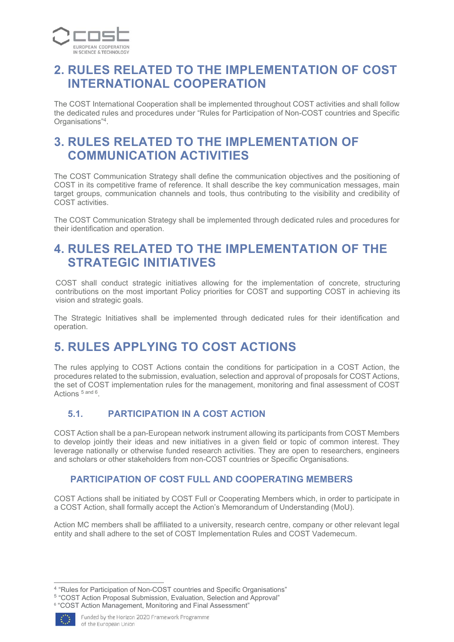

## **2. RULES RELATED TO THE IMPLEMENTATION OF COST INTERNATIONAL COOPERATION**

The COST International Cooperation shall be implemented throughout COST activities and shall follow the dedicated rules and procedures under "Rules for Participation of Non-COST countries and Specific Organisations"4.

## **3. RULES RELATED TO THE IMPLEMENTATION OF COMMUNICATION ACTIVITIES**

The COST Communication Strategy shall define the communication objectives and the positioning of COST in its competitive frame of reference. It shall describe the key communication messages, main target groups, communication channels and tools, thus contributing to the visibility and credibility of COST activities.

The COST Communication Strategy shall be implemented through dedicated rules and procedures for their identification and operation.

### **4. RULES RELATED TO THE IMPLEMENTATION OF THE STRATEGIC INITIATIVES**

COST shall conduct strategic initiatives allowing for the implementation of concrete, structuring contributions on the most important Policy priorities for COST and supporting COST in achieving its vision and strategic goals.

The Strategic Initiatives shall be implemented through dedicated rules for their identification and operation.

## **5. RULES APPLYING TO COST ACTIONS**

The rules applying to COST Actions contain the conditions for participation in a COST Action, the procedures related to the submission, evaluation, selection and approval of proposals for COST Actions, the set of COST implementation rules for the management, monitoring and final assessment of COST Actions 5 and 6.

#### **5.1. PARTICIPATION IN A COST ACTION**

COST Action shall be a pan-European network instrument allowing its participants from COST Members to develop jointly their ideas and new initiatives in a given field or topic of common interest. They leverage nationally or otherwise funded research activities. They are open to researchers, engineers and scholars or other stakeholders from non-COST countries or Specific Organisations.

#### **PARTICIPATION OF COST FULL AND COOPERATING MEMBERS**

COST Actions shall be initiated by COST Full or Cooperating Members which, in order to participate in a COST Action, shall formally accept the Action's Memorandum of Understanding (MoU).

Action MC members shall be affiliated to a university, research centre, company or other relevant legal entity and shall adhere to the set of COST Implementation Rules and COST Vademecum.



<sup>&</sup>lt;sup>4</sup> "Rules for Participation of Non-COST countries and Specific Organisations"

<sup>&</sup>lt;sup>5 "</sup>COST Action Proposal Submission, Evaluation, Selection and Approval" 6 "COST Action Management, Monitoring and Final Assessment"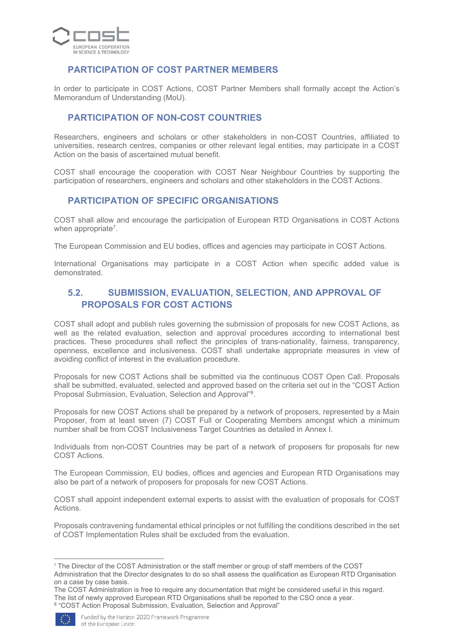

#### **PARTICIPATION OF COST PARTNER MEMBERS**

In order to participate in COST Actions, COST Partner Members shall formally accept the Action's Memorandum of Understanding (MoU).

#### **PARTICIPATION OF NON-COST COUNTRIES**

Researchers, engineers and scholars or other stakeholders in non-COST Countries, affiliated to universities, research centres, companies or other relevant legal entities, may participate in a COST Action on the basis of ascertained mutual benefit.

COST shall encourage the cooperation with COST Near Neighbour Countries by supporting the participation of researchers, engineers and scholars and other stakeholders in the COST Actions.

#### **PARTICIPATION OF SPECIFIC ORGANISATIONS**

COST shall allow and encourage the participation of European RTD Organisations in COST Actions when appropriate<sup>7</sup>.

The European Commission and EU bodies, offices and agencies may participate in COST Actions.

International Organisations may participate in a COST Action when specific added value is demonstrated.

#### **5.2. SUBMISSION, EVALUATION, SELECTION, AND APPROVAL OF PROPOSALS FOR COST ACTIONS**

COST shall adopt and publish rules governing the submission of proposals for new COST Actions, as well as the related evaluation, selection and approval procedures according to international best practices. These procedures shall reflect the principles of trans-nationality, fairness, transparency, openness, excellence and inclusiveness. COST shall undertake appropriate measures in view of avoiding conflict of interest in the evaluation procedure.

Proposals for new COST Actions shall be submitted via the continuous COST Open Call. Proposals shall be submitted, evaluated, selected and approved based on the criteria set out in the "COST Action Proposal Submission, Evaluation, Selection and Approval"8.

Proposals for new COST Actions shall be prepared by a network of proposers, represented by a Main Proposer, from at least seven (7) COST Full or Cooperating Members amongst which a minimum number shall be from COST Inclusiveness Target Countries as detailed in Annex I.

Individuals from non-COST Countries may be part of a network of proposers for proposals for new COST Actions.

The European Commission, EU bodies, offices and agencies and European RTD Organisations may also be part of a network of proposers for proposals for new COST Actions.

COST shall appoint independent external experts to assist with the evaluation of proposals for COST Actions.

Proposals contravening fundamental ethical principles or not fulfilling the conditions described in the set of COST Implementation Rules shall be excluded from the evaluation.

The COST Administration is free to require any documentation that might be considered useful in this regard. The list of newly approved European RTD Organisations shall be reported to the CSO once a year. 8 "COST Action Proposal Submission, Evaluation, Selection and Approval"



-

<sup>&</sup>lt;sup>7</sup> The Director of the COST Administration or the staff member or group of staff members of the COST Administration that the Director designates to do so shall assess the qualification as European RTD Organisation on a case by case basis.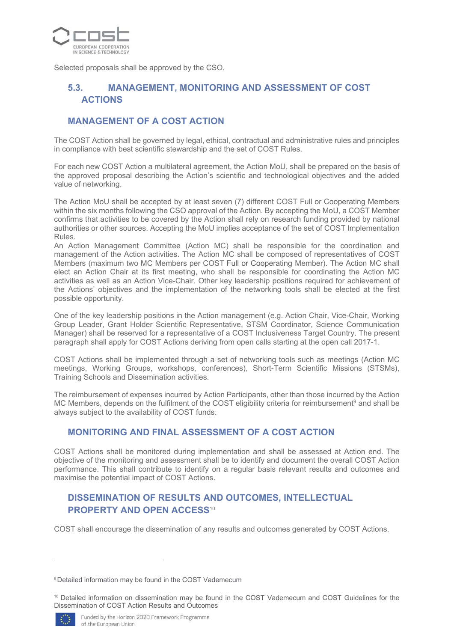

Selected proposals shall be approved by the CSO.

#### **5.3. MANAGEMENT, MONITORING AND ASSESSMENT OF COST ACTIONS**

#### **MANAGEMENT OF A COST ACTION**

The COST Action shall be governed by legal, ethical, contractual and administrative rules and principles in compliance with best scientific stewardship and the set of COST Rules.

For each new COST Action a multilateral agreement, the Action MoU, shall be prepared on the basis of the approved proposal describing the Action's scientific and technological objectives and the added value of networking.

The Action MoU shall be accepted by at least seven (7) different COST Full or Cooperating Members within the six months following the CSO approval of the Action. By accepting the MoU, a COST Member confirms that activities to be covered by the Action shall rely on research funding provided by national authorities or other sources. Accepting the MoU implies acceptance of the set of COST Implementation Rules.

An Action Management Committee (Action MC) shall be responsible for the coordination and management of the Action activities. The Action MC shall be composed of representatives of COST Members (maximum two MC Members per COST Full or Cooperating Member). The Action MC shall elect an Action Chair at its first meeting, who shall be responsible for coordinating the Action MC activities as well as an Action Vice-Chair. Other key leadership positions required for achievement of the Actions' objectives and the implementation of the networking tools shall be elected at the first possible opportunity.

One of the key leadership positions in the Action management (e.g. Action Chair, Vice-Chair, Working Group Leader, Grant Holder Scientific Representative, STSM Coordinator, Science Communication Manager) shall be reserved for a representative of a COST Inclusiveness Target Country. The present paragraph shall apply for COST Actions deriving from open calls starting at the open call 2017-1.

COST Actions shall be implemented through a set of networking tools such as meetings (Action MC meetings, Working Groups, workshops, conferences), Short-Term Scientific Missions (STSMs), Training Schools and Dissemination activities.

The reimbursement of expenses incurred by Action Participants, other than those incurred by the Action MC Members, depends on the fulfilment of the COST eligibility criteria for reimbursement<sup>9</sup> and shall be always subject to the availability of COST funds.

#### **MONITORING AND FINAL ASSESSMENT OF A COST ACTION**

COST Actions shall be monitored during implementation and shall be assessed at Action end. The objective of the monitoring and assessment shall be to identify and document the overall COST Action performance. This shall contribute to identify on a regular basis relevant results and outcomes and maximise the potential impact of COST Actions.

#### **DISSEMINATION OF RESULTS AND OUTCOMES, INTELLECTUAL PROPERTY AND OPEN ACCESS**<sup>10</sup>

COST shall encourage the dissemination of any results and outcomes generated by COST Actions.

<sup>10</sup> Detailed information on dissemination may be found in the COST Vademecum and COST Guidelines for the Dissemination of COST Action Results and Outcomes



-

<sup>9</sup> Detailed information may be found in the COST Vademecum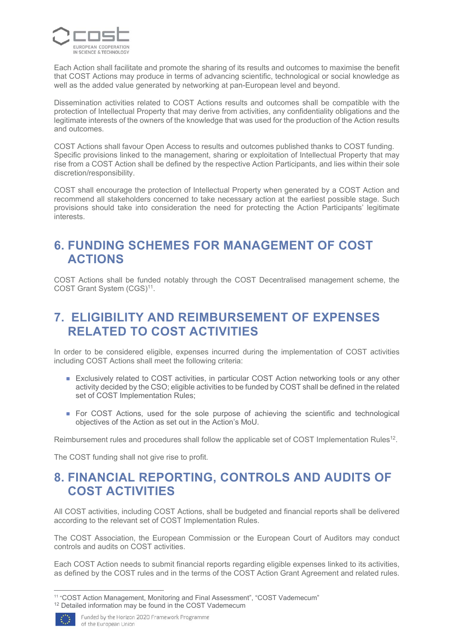

Each Action shall facilitate and promote the sharing of its results and outcomes to maximise the benefit that COST Actions may produce in terms of advancing scientific, technological or social knowledge as well as the added value generated by networking at pan-European level and beyond.

Dissemination activities related to COST Actions results and outcomes shall be compatible with the protection of Intellectual Property that may derive from activities, any confidentiality obligations and the legitimate interests of the owners of the knowledge that was used for the production of the Action results and outcomes.

COST Actions shall favour Open Access to results and outcomes published thanks to COST funding. Specific provisions linked to the management, sharing or exploitation of Intellectual Property that may rise from a COST Action shall be defined by the respective Action Participants, and lies within their sole discretion/responsibility.

COST shall encourage the protection of Intellectual Property when generated by a COST Action and recommend all stakeholders concerned to take necessary action at the earliest possible stage. Such provisions should take into consideration the need for protecting the Action Participants' legitimate interests.

### **6. FUNDING SCHEMES FOR MANAGEMENT OF COST ACTIONS**

COST Actions shall be funded notably through the COST Decentralised management scheme, the COST Grant System (CGS)11.

### **7. ELIGIBILITY AND REIMBURSEMENT OF EXPENSES RELATED TO COST ACTIVITIES**

In order to be considered eligible, expenses incurred during the implementation of COST activities including COST Actions shall meet the following criteria:

- **Exclusively related to COST activities, in particular COST Action networking tools or any other** activity decided by the CSO; eligible activities to be funded by COST shall be defined in the related set of COST Implementation Rules;
- **For COST** Actions, used for the sole purpose of achieving the scientific and technological objectives of the Action as set out in the Action's MoU.

Reimbursement rules and procedures shall follow the applicable set of COST Implementation Rules<sup>12</sup>.

The COST funding shall not give rise to profit.

## **8. FINANCIAL REPORTING, CONTROLS AND AUDITS OF COST ACTIVITIES**

All COST activities, including COST Actions, shall be budgeted and financial reports shall be delivered according to the relevant set of COST Implementation Rules.

The COST Association, the European Commission or the European Court of Auditors may conduct controls and audits on COST activities.

Each COST Action needs to submit financial reports regarding eligible expenses linked to its activities, as defined by the COST rules and in the terms of the COST Action Grant Agreement and related rules.

<sup>-</sup><sup>11</sup> "COST Action Management, Monitoring and Final Assessment", "COST Vademecum" 1<sup>2</sup> Detailed information may be found in the COST Vademecum

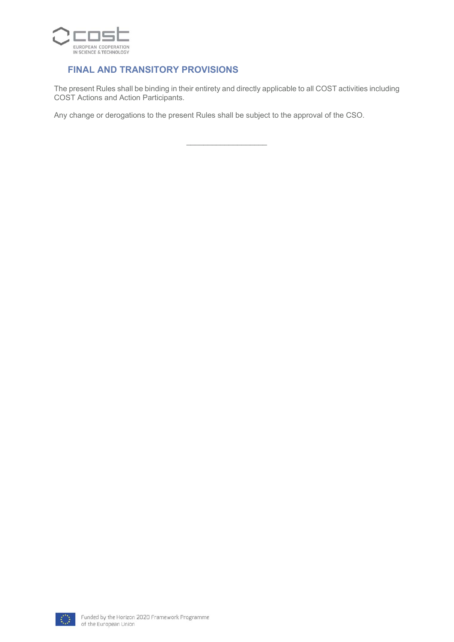

#### **FINAL AND TRANSITORY PROVISIONS**

The present Rules shall be binding in their entirety and directly applicable to all COST activities including COST Actions and Action Participants.

 $\mathcal{L}_\mathcal{L}$  , where  $\mathcal{L}_\mathcal{L}$  is the set of the set of the set of the set of the set of the set of the set of the set of the set of the set of the set of the set of the set of the set of the set of the set of the

Any change or derogations to the present Rules shall be subject to the approval of the CSO.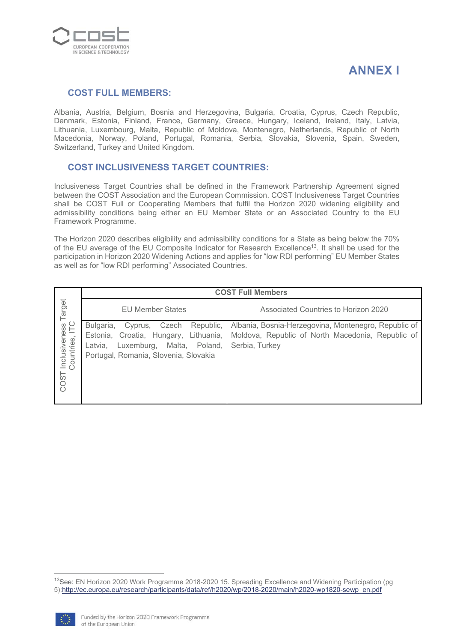

## **ANNEX I**

#### **COST FULL MEMBERS:**

Albania, Austria, Belgium, Bosnia and Herzegovina, Bulgaria, Croatia, Cyprus, Czech Republic, Denmark, Estonia, Finland, France, Germany, Greece, Hungary, Iceland, Ireland, Italy, Latvia, Lithuania, Luxembourg, Malta, Republic of Moldova, Montenegro, Netherlands, Republic of North Macedonia, Norway, Poland, Portugal, Romania, Serbia, Slovakia, Slovenia, Spain, Sweden, Switzerland, Turkey and United Kingdom.

#### **COST INCLUSIVENESS TARGET COUNTRIES:**

Inclusiveness Target Countries shall be defined in the Framework Partnership Agreement signed between the COST Association and the European Commission. COST Inclusiveness Target Countries shall be COST Full or Cooperating Members that fulfil the Horizon 2020 widening eligibility and admissibility conditions being either an EU Member State or an Associated Country to the EU Framework Programme.

The Horizon 2020 describes eligibility and admissibility conditions for a State as being below the 70% of the EU average of the EU Composite Indicator for Research Excellence13. It shall be used for the participation in Horizon 2020 Widening Actions and applies for "low RDI performing" EU Member States as well as for "low RDI performing" Associated Countries.

|                                                |                                                                                                                                                             | <b>COST Full Members</b>                                                                                                    |
|------------------------------------------------|-------------------------------------------------------------------------------------------------------------------------------------------------------------|-----------------------------------------------------------------------------------------------------------------------------|
| Inclusiveness Target<br>Countries, ITC<br>COST | <b>EU Member States</b>                                                                                                                                     | Associated Countries to Horizon 2020                                                                                        |
|                                                | Bulgaria, Cyprus, Czech<br>Republic,<br>Estonia, Croatia, Hungary, Lithuania,<br>Latvia, Luxemburg, Malta, Poland,<br>Portugal, Romania, Slovenia, Slovakia | Albania, Bosnia-Herzegovina, Montenegro, Republic of<br>Moldova, Republic of North Macedonia, Republic of<br>Serbia, Turkey |
|                                                |                                                                                                                                                             |                                                                                                                             |

<sup>&</sup>lt;sup>13</sup>See: EN Horizon 2020 Work Programme 2018-2020 15. Spreading Excellence and Widening Participation (pg 5):http://ec.europa.eu/research/participants/data/ref/h2020/wp/2018-2020/main/h2020-wp1820-sewp\_en.pdf



-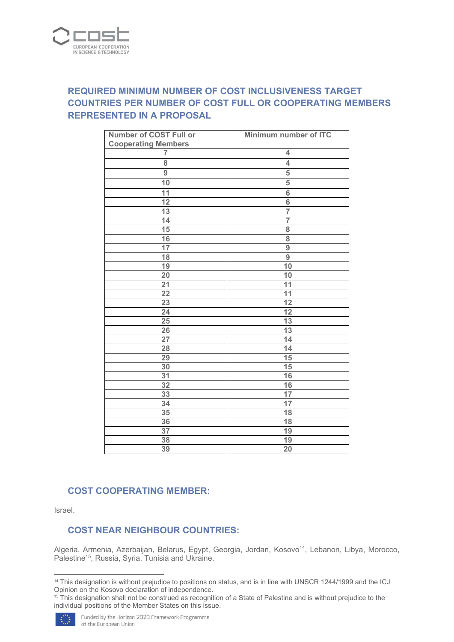

#### **REQUIRED MINIMUM NUMBER OF COST INCLUSIVENESS TARGET COUNTRIES PER NUMBER OF COST FULL OR COOPERATING MEMBERS REPRESENTED IN A PROPOSAL**

| Number of COST Full or     | Minimum number of ITC |
|----------------------------|-----------------------|
| <b>Cooperating Members</b> |                       |
| $\overline{7}$             | $\overline{4}$        |
| 8                          | 4                     |
| 9                          | 5                     |
| 10                         | $\overline{5}$        |
| $\overline{11}$            | $\overline{6}$        |
| 12                         | $\overline{6}$        |
| 13                         | $\overline{7}$        |
| 14                         | $\overline{7}$        |
| 15                         | 8                     |
| 16                         | 8                     |
| 17                         | 9                     |
| 18                         | $\overline{9}$        |
| 19                         | 10                    |
| 20                         | 10                    |
| 21                         | 11                    |
| $\overline{22}$            | $\overline{11}$       |
| 23                         | $\overline{12}$       |
| 24                         | 12                    |
| 25                         | 13                    |
| 26                         | 13                    |
| $\overline{27}$            | $\overline{14}$       |
| 28                         | 14                    |
| 29                         | 15                    |
| 30                         | 15                    |
| 31                         | 16                    |
| 32                         | 16                    |
| 33                         | 17                    |
| 34                         | $\overline{17}$       |
| 35                         | 18                    |
| 36                         | 18                    |
| $\overline{37}$            | 19                    |
| 38                         | 19                    |
| 39                         | $\overline{20}$       |

#### **COST COOPERATING MEMBER:**

Israel.

#### **COST NEAR NEIGHBOUR COUNTRIES:**

Algeria, Armenia, Azerbaijan, Belarus, Egypt, Georgia, Jordan, Kosovo<sup>14</sup>, Lebanon, Libya, Morocco, Palestine15, Russia, Syria, Tunisia and Ukraine.

<sup>&</sup>lt;sup>15</sup> This designation shall not be construed as recognition of a State of Palestine and is without prejudice to the individual positions of the Member States on this issue.



<sup>-</sup><sup>14</sup> This designation is without prejudice to positions on status, and is in line with UNSCR 1244/1999 and the ICJ Opinion on the Kosovo declaration of independence.